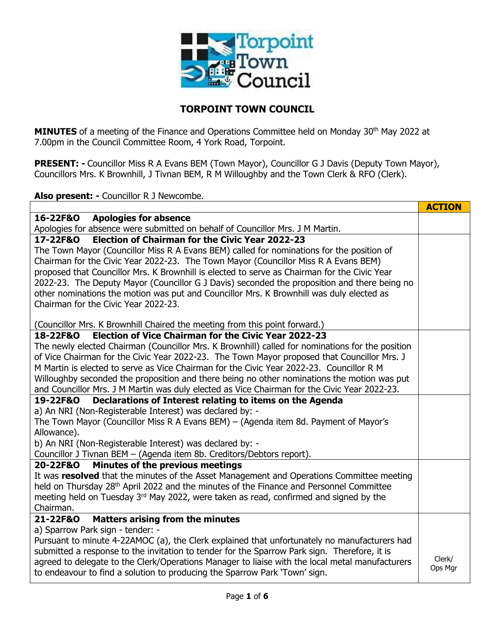

## **TORPOINT TOWN COUNCIL**

**MINUTES** of a meeting of the Finance and Operations Committee held on Monday 30<sup>th</sup> May 2022 at 7.00pm in the Council Committee Room, 4 York Road, Torpoint.

**PRESENT: -** Councillor Miss R A Evans BEM (Town Mayor), Councillor G J Davis (Deputy Town Mayor), Councillors Mrs. K Brownhill, J Tivnan BEM, R M Willoughby and the Town Clerk & RFO (Clerk).

**Also present: -** Councillor R J Newcombe.

|                                                                                                     | <b>ACTION</b> |  |  |  |  |
|-----------------------------------------------------------------------------------------------------|---------------|--|--|--|--|
| 16-22F&O<br><b>Apologies for absence</b>                                                            |               |  |  |  |  |
| Apologies for absence were submitted on behalf of Councillor Mrs. J M Martin.                       |               |  |  |  |  |
| <b>Election of Chairman for the Civic Year 2022-23</b><br>17-22F&O                                  |               |  |  |  |  |
| The Town Mayor (Councillor Miss R A Evans BEM) called for nominations for the position of           |               |  |  |  |  |
| Chairman for the Civic Year 2022-23. The Town Mayor (Councillor Miss R A Evans BEM)                 |               |  |  |  |  |
| proposed that Councillor Mrs. K Brownhill is elected to serve as Chairman for the Civic Year        |               |  |  |  |  |
| 2022-23. The Deputy Mayor (Councillor G J Davis) seconded the proposition and there being no        |               |  |  |  |  |
| other nominations the motion was put and Councillor Mrs. K Brownhill was duly elected as            |               |  |  |  |  |
| Chairman for the Civic Year 2022-23.                                                                |               |  |  |  |  |
| (Councillor Mrs. K Brownhill Chaired the meeting from this point forward.)                          |               |  |  |  |  |
| <b>Election of Vice Chairman for the Civic Year 2022-23</b><br>18-22F&O                             |               |  |  |  |  |
| The newly elected Chairman (Councillor Mrs. K Brownhill) called for nominations for the position    |               |  |  |  |  |
| of Vice Chairman for the Civic Year 2022-23. The Town Mayor proposed that Councillor Mrs. J         |               |  |  |  |  |
| M Martin is elected to serve as Vice Chairman for the Civic Year 2022-23. Councillor R M            |               |  |  |  |  |
| Willoughby seconded the proposition and there being no other nominations the motion was put         |               |  |  |  |  |
| and Councillor Mrs. J M Martin was duly elected as Vice Chairman for the Civic Year 2022-23.        |               |  |  |  |  |
| Declarations of Interest relating to items on the Agenda<br>19-22F&O                                |               |  |  |  |  |
| a) An NRI (Non-Registerable Interest) was declared by: -                                            |               |  |  |  |  |
| The Town Mayor (Councillor Miss R A Evans BEM) - (Agenda item 8d. Payment of Mayor's                |               |  |  |  |  |
| Allowance).                                                                                         |               |  |  |  |  |
| b) An NRI (Non-Registerable Interest) was declared by: -                                            |               |  |  |  |  |
| Councillor J Tivnan BEM - (Agenda item 8b. Creditors/Debtors report).                               |               |  |  |  |  |
| Minutes of the previous meetings<br>20-22F&O                                                        |               |  |  |  |  |
| It was resolved that the minutes of the Asset Management and Operations Committee meeting           |               |  |  |  |  |
| held on Thursday 28 <sup>th</sup> April 2022 and the minutes of the Finance and Personnel Committee |               |  |  |  |  |
| meeting held on Tuesday 3rd May 2022, were taken as read, confirmed and signed by the               |               |  |  |  |  |
| Chairman.                                                                                           |               |  |  |  |  |
| <b>Matters arising from the minutes</b><br>21-22F&O                                                 |               |  |  |  |  |
| a) Sparrow Park sign - tender: -                                                                    |               |  |  |  |  |
| Pursuant to minute 4-22AMOC (a), the Clerk explained that unfortunately no manufacturers had        |               |  |  |  |  |
| submitted a response to the invitation to tender for the Sparrow Park sign. Therefore, it is        | Clerk/        |  |  |  |  |
| agreed to delegate to the Clerk/Operations Manager to liaise with the local metal manufacturers     | Ops Mgr       |  |  |  |  |
| to endeavour to find a solution to producing the Sparrow Park 'Town' sign.                          |               |  |  |  |  |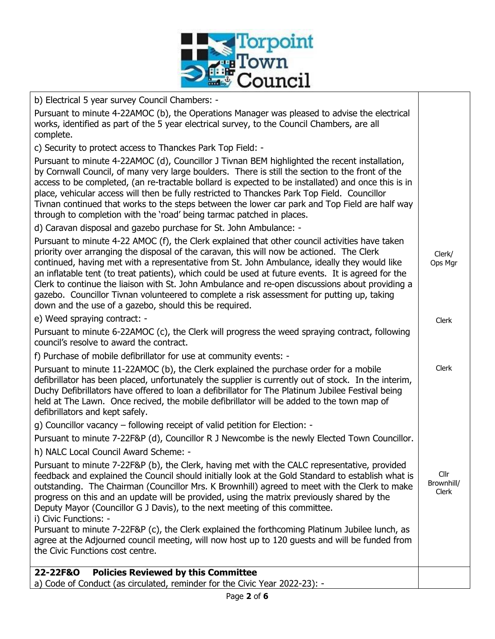

b) Electrical 5 year survey Council Chambers: -

Pursuant to minute 4-22AMOC (b), the Operations Manager was pleased to advise the electrical works, identified as part of the 5 year electrical survey, to the Council Chambers, are all complete.

c) Security to protect access to Thanckes Park Top Field: -

Pursuant to minute 4-22AMOC (d), Councillor J Tivnan BEM highlighted the recent installation, by Cornwall Council, of many very large boulders. There is still the section to the front of the access to be completed, (an re-tractable bollard is expected to be installated) and once this is in place, vehicular access will then be fully restricted to Thanckes Park Top Field. Councillor Tivnan continued that works to the steps between the lower car park and Top Field are half way through to completion with the 'road' being tarmac patched in places.

d) Caravan disposal and gazebo purchase for St. John Ambulance: -

Pursuant to minute 4-22 AMOC (f), the Clerk explained that other council activities have taken priority over arranging the disposal of the caravan, this will now be actioned. The Clerk continued, having met with a representative from St. John Ambulance, ideally they would like an inflatable tent (to treat patients), which could be used at future events. It is agreed for the Clerk to continue the liaison with St. John Ambulance and re-open discussions about providing a gazebo. Councillor Tivnan volunteered to complete a risk assessment for putting up, taking down and the use of a gazebo, should this be required.

Clerk/ Ops Mgr

Clerk

Clerk

e) Weed spraying contract: -

Pursuant to minute 6-22AMOC (c), the Clerk will progress the weed spraying contract, following council's resolve to award the contract.

f) Purchase of mobile defibrillator for use at community events: -

Pursuant to minute 11-22AMOC (b), the Clerk explained the purchase order for a mobile defibrillator has been placed, unfortunately the supplier is currently out of stock. In the interim, Duchy Defibrillators have offered to loan a defibrillator for The Platinum Jubilee Festival being held at The Lawn. Once recived, the mobile defibrillator will be added to the town map of defibrillators and kept safely.

g) Councillor vacancy – following receipt of valid petition for Election: -

Pursuant to minute 7-22F&P (d), Councillor R J Newcombe is the newly Elected Town Councillor.

h) NALC Local Council Award Scheme: -

Pursuant to minute 7-22F&P (b), the Clerk, having met with the CALC representative, provided feedback and explained the Council should initially look at the Gold Standard to establish what is outstanding. The Chairman (Councillor Mrs. K Brownhill) agreed to meet with the Clerk to make progress on this and an update will be provided, using the matrix previously shared by the Deputy Mayor (Councillor G J Davis), to the next meeting of this committee. i) Civic Functions: - Cllr Brownhill/ Clerk

Pursuant to minute 7-22F&P (c), the Clerk explained the forthcoming Platinum Jubilee lunch, as agree at the Adjourned council meeting, will now host up to 120 guests and will be funded from the Civic Functions cost centre.

## **22-22F&O Policies Reviewed by this Committee** a) Code of Conduct (as circulated, reminder for the Civic Year 2022-23): -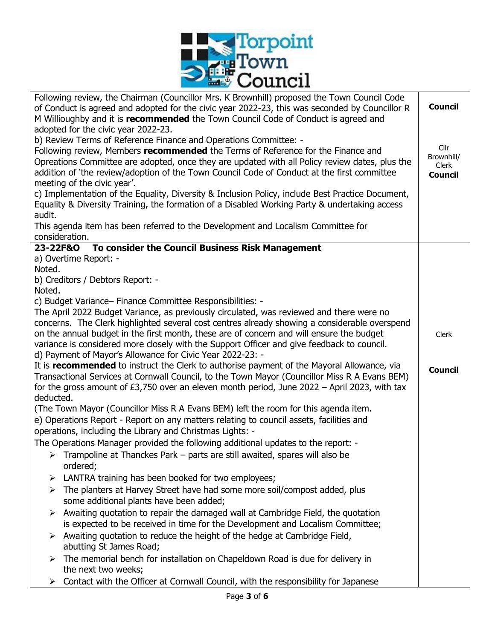

| Following review, the Chairman (Councillor Mrs. K Brownhill) proposed the Town Council Code<br>of Conduct is agreed and adopted for the civic year 2022-23, this was seconded by Councillor R<br>M Willioughby and it is recommended the Town Council Code of Conduct is agreed and | <b>Council</b>     |  |  |  |  |  |
|-------------------------------------------------------------------------------------------------------------------------------------------------------------------------------------------------------------------------------------------------------------------------------------|--------------------|--|--|--|--|--|
| adopted for the civic year 2022-23.                                                                                                                                                                                                                                                 |                    |  |  |  |  |  |
| b) Review Terms of Reference Finance and Operations Committee: -                                                                                                                                                                                                                    |                    |  |  |  |  |  |
| Following review, Members recommended the Terms of Reference for the Finance and                                                                                                                                                                                                    | Cllr<br>Brownhill/ |  |  |  |  |  |
| Opreations Committee are adopted, once they are updated with all Policy review dates, plus the                                                                                                                                                                                      |                    |  |  |  |  |  |
| addition of 'the review/adoption of the Town Council Code of Conduct at the first committee                                                                                                                                                                                         |                    |  |  |  |  |  |
| meeting of the civic year'.                                                                                                                                                                                                                                                         | <b>Council</b>     |  |  |  |  |  |
|                                                                                                                                                                                                                                                                                     |                    |  |  |  |  |  |
| c) Implementation of the Equality, Diversity & Inclusion Policy, include Best Practice Document,                                                                                                                                                                                    |                    |  |  |  |  |  |
| Equality & Diversity Training, the formation of a Disabled Working Party & undertaking access                                                                                                                                                                                       |                    |  |  |  |  |  |
| audit.                                                                                                                                                                                                                                                                              |                    |  |  |  |  |  |
| This agenda item has been referred to the Development and Localism Committee for                                                                                                                                                                                                    |                    |  |  |  |  |  |
| consideration.                                                                                                                                                                                                                                                                      |                    |  |  |  |  |  |
| To consider the Council Business Risk Management<br>23-22F&O                                                                                                                                                                                                                        |                    |  |  |  |  |  |
| a) Overtime Report: -                                                                                                                                                                                                                                                               |                    |  |  |  |  |  |
| Noted.                                                                                                                                                                                                                                                                              |                    |  |  |  |  |  |
| b) Creditors / Debtors Report: -                                                                                                                                                                                                                                                    |                    |  |  |  |  |  |
| Noted.                                                                                                                                                                                                                                                                              |                    |  |  |  |  |  |
| c) Budget Variance- Finance Committee Responsibilities: -                                                                                                                                                                                                                           |                    |  |  |  |  |  |
| The April 2022 Budget Variance, as previously circulated, was reviewed and there were no                                                                                                                                                                                            |                    |  |  |  |  |  |
| concerns. The Clerk highlighted several cost centres already showing a considerable overspend                                                                                                                                                                                       |                    |  |  |  |  |  |
|                                                                                                                                                                                                                                                                                     |                    |  |  |  |  |  |
| on the annual budget in the first month, these are of concern and will ensure the budget                                                                                                                                                                                            | Clerk              |  |  |  |  |  |
| variance is considered more closely with the Support Officer and give feedback to council.                                                                                                                                                                                          |                    |  |  |  |  |  |
| d) Payment of Mayor's Allowance for Civic Year 2022-23: -                                                                                                                                                                                                                           |                    |  |  |  |  |  |
| It is <b>recommended</b> to instruct the Clerk to authorise payment of the Mayoral Allowance, via                                                                                                                                                                                   | <b>Council</b>     |  |  |  |  |  |
| Transactional Services at Cornwall Council, to the Town Mayor (Councillor Miss R A Evans BEM)                                                                                                                                                                                       |                    |  |  |  |  |  |
| for the gross amount of $£3,750$ over an eleven month period, June $2022 -$ April 2023, with tax                                                                                                                                                                                    |                    |  |  |  |  |  |
| deducted.                                                                                                                                                                                                                                                                           |                    |  |  |  |  |  |
| (The Town Mayor (Councillor Miss R A Evans BEM) left the room for this agenda item.                                                                                                                                                                                                 |                    |  |  |  |  |  |
| e) Operations Report - Report on any matters relating to council assets, facilities and                                                                                                                                                                                             |                    |  |  |  |  |  |
| operations, including the Library and Christmas Lights: -                                                                                                                                                                                                                           |                    |  |  |  |  |  |
|                                                                                                                                                                                                                                                                                     |                    |  |  |  |  |  |
| The Operations Manager provided the following additional updates to the report: -                                                                                                                                                                                                   |                    |  |  |  |  |  |
| Trampoline at Thanckes Park – parts are still awaited, spares will also be                                                                                                                                                                                                          |                    |  |  |  |  |  |
| ordered;                                                                                                                                                                                                                                                                            |                    |  |  |  |  |  |
| LANTRA training has been booked for two employees;<br>➤                                                                                                                                                                                                                             |                    |  |  |  |  |  |
| The planters at Harvey Street have had some more soil/compost added, plus<br>➤                                                                                                                                                                                                      |                    |  |  |  |  |  |
| some additional plants have been added;                                                                                                                                                                                                                                             |                    |  |  |  |  |  |
| $\triangleright$ Awaiting quotation to repair the damaged wall at Cambridge Field, the quotation                                                                                                                                                                                    |                    |  |  |  |  |  |
| is expected to be received in time for the Development and Localism Committee;                                                                                                                                                                                                      |                    |  |  |  |  |  |
| $\triangleright$ Awaiting quotation to reduce the height of the hedge at Cambridge Field,                                                                                                                                                                                           |                    |  |  |  |  |  |
| abutting St James Road;                                                                                                                                                                                                                                                             |                    |  |  |  |  |  |
| The memorial bench for installation on Chapeldown Road is due for delivery in<br>➤                                                                                                                                                                                                  |                    |  |  |  |  |  |
|                                                                                                                                                                                                                                                                                     |                    |  |  |  |  |  |
| the next two weeks;                                                                                                                                                                                                                                                                 |                    |  |  |  |  |  |
| Contact with the Officer at Cornwall Council, with the responsibility for Japanese<br>➤                                                                                                                                                                                             |                    |  |  |  |  |  |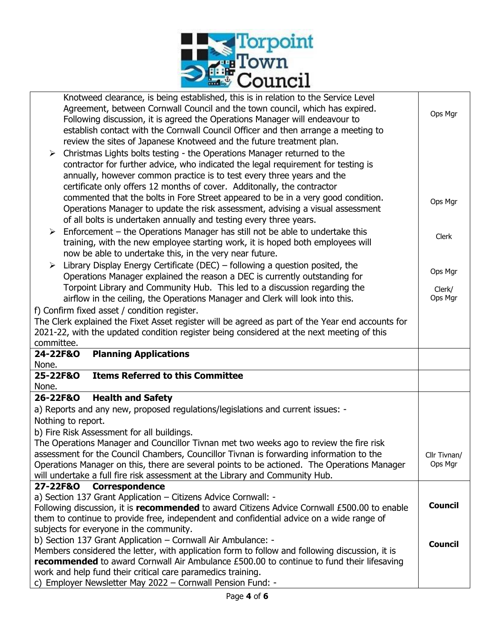

| Knotweed clearance, is being established, this is in relation to the Service Level<br>Agreement, between Cornwall Council and the town council, which has expired.<br>Following discussion, it is agreed the Operations Manager will endeavour to<br>establish contact with the Cornwall Council Officer and then arrange a meeting to<br>review the sites of Japanese Knotweed and the future treatment plan.<br>Christmas Lights bolts testing - the Operations Manager returned to the<br>➤<br>contractor for further advice, who indicated the legal requirement for testing is<br>annually, however common practice is to test every three years and the<br>certificate only offers 12 months of cover. Additonally, the contractor<br>commented that the bolts in Fore Street appeared to be in a very good condition.<br>Operations Manager to update the risk assessment, advising a visual assessment<br>of all bolts is undertaken annually and testing every three years.<br>Enforcement – the Operations Manager has still not be able to undertake this<br>➤<br>training, with the new employee starting work, it is hoped both employees will | Ops Mgr<br>Ops Mgr<br>Clerk |  |  |  |  |
|-------------------------------------------------------------------------------------------------------------------------------------------------------------------------------------------------------------------------------------------------------------------------------------------------------------------------------------------------------------------------------------------------------------------------------------------------------------------------------------------------------------------------------------------------------------------------------------------------------------------------------------------------------------------------------------------------------------------------------------------------------------------------------------------------------------------------------------------------------------------------------------------------------------------------------------------------------------------------------------------------------------------------------------------------------------------------------------------------------------------------------------------------------------|-----------------------------|--|--|--|--|
| now be able to undertake this, in the very near future.<br>Library Display Energy Certificate (DEC) – following a question posited, the<br>➤<br>Operations Manager explained the reason a DEC is currently outstanding for<br>Torpoint Library and Community Hub. This led to a discussion regarding the                                                                                                                                                                                                                                                                                                                                                                                                                                                                                                                                                                                                                                                                                                                                                                                                                                                    |                             |  |  |  |  |
| airflow in the ceiling, the Operations Manager and Clerk will look into this.                                                                                                                                                                                                                                                                                                                                                                                                                                                                                                                                                                                                                                                                                                                                                                                                                                                                                                                                                                                                                                                                               | Ops Mgr                     |  |  |  |  |
| f) Confirm fixed asset / condition register.<br>The Clerk explained the Fixet Asset register will be agreed as part of the Year end accounts for                                                                                                                                                                                                                                                                                                                                                                                                                                                                                                                                                                                                                                                                                                                                                                                                                                                                                                                                                                                                            |                             |  |  |  |  |
| 2021-22, with the updated condition register being considered at the next meeting of this<br>committee.                                                                                                                                                                                                                                                                                                                                                                                                                                                                                                                                                                                                                                                                                                                                                                                                                                                                                                                                                                                                                                                     |                             |  |  |  |  |
| <b>Planning Applications</b><br>24-22F&O                                                                                                                                                                                                                                                                                                                                                                                                                                                                                                                                                                                                                                                                                                                                                                                                                                                                                                                                                                                                                                                                                                                    |                             |  |  |  |  |
| None.                                                                                                                                                                                                                                                                                                                                                                                                                                                                                                                                                                                                                                                                                                                                                                                                                                                                                                                                                                                                                                                                                                                                                       |                             |  |  |  |  |
| <b>Items Referred to this Committee</b><br>25-22F&O<br>None.                                                                                                                                                                                                                                                                                                                                                                                                                                                                                                                                                                                                                                                                                                                                                                                                                                                                                                                                                                                                                                                                                                |                             |  |  |  |  |
| <b>Health and Safety</b><br>26-22F&O                                                                                                                                                                                                                                                                                                                                                                                                                                                                                                                                                                                                                                                                                                                                                                                                                                                                                                                                                                                                                                                                                                                        |                             |  |  |  |  |
| a) Reports and any new, proposed regulations/legislations and current issues: -                                                                                                                                                                                                                                                                                                                                                                                                                                                                                                                                                                                                                                                                                                                                                                                                                                                                                                                                                                                                                                                                             |                             |  |  |  |  |
| Nothing to report.                                                                                                                                                                                                                                                                                                                                                                                                                                                                                                                                                                                                                                                                                                                                                                                                                                                                                                                                                                                                                                                                                                                                          |                             |  |  |  |  |
| b) Fire Risk Assessment for all buildings.                                                                                                                                                                                                                                                                                                                                                                                                                                                                                                                                                                                                                                                                                                                                                                                                                                                                                                                                                                                                                                                                                                                  |                             |  |  |  |  |
| The Operations Manager and Councillor Tivnan met two weeks ago to review the fire risk<br>assessment for the Council Chambers, Councillor Tivnan is forwarding information to the<br>Cllr Tivnan/                                                                                                                                                                                                                                                                                                                                                                                                                                                                                                                                                                                                                                                                                                                                                                                                                                                                                                                                                           |                             |  |  |  |  |
| Operations Manager on this, there are several points to be actioned. The Operations Manager                                                                                                                                                                                                                                                                                                                                                                                                                                                                                                                                                                                                                                                                                                                                                                                                                                                                                                                                                                                                                                                                 |                             |  |  |  |  |
| will undertake a full fire risk assessment at the Library and Community Hub.                                                                                                                                                                                                                                                                                                                                                                                                                                                                                                                                                                                                                                                                                                                                                                                                                                                                                                                                                                                                                                                                                |                             |  |  |  |  |
| 27-22F&O<br><b>Correspondence</b>                                                                                                                                                                                                                                                                                                                                                                                                                                                                                                                                                                                                                                                                                                                                                                                                                                                                                                                                                                                                                                                                                                                           |                             |  |  |  |  |
| a) Section 137 Grant Application - Citizens Advice Cornwall: -<br>Following discussion, it is recommended to award Citizens Advice Cornwall £500.00 to enable                                                                                                                                                                                                                                                                                                                                                                                                                                                                                                                                                                                                                                                                                                                                                                                                                                                                                                                                                                                               |                             |  |  |  |  |
| them to continue to provide free, independent and confidential advice on a wide range of                                                                                                                                                                                                                                                                                                                                                                                                                                                                                                                                                                                                                                                                                                                                                                                                                                                                                                                                                                                                                                                                    |                             |  |  |  |  |
| subjects for everyone in the community.                                                                                                                                                                                                                                                                                                                                                                                                                                                                                                                                                                                                                                                                                                                                                                                                                                                                                                                                                                                                                                                                                                                     |                             |  |  |  |  |
| b) Section 137 Grant Application - Cornwall Air Ambulance: -                                                                                                                                                                                                                                                                                                                                                                                                                                                                                                                                                                                                                                                                                                                                                                                                                                                                                                                                                                                                                                                                                                |                             |  |  |  |  |
| Members considered the letter, with application form to follow and following discussion, it is<br>recommended to award Cornwall Air Ambulance £500.00 to continue to fund their lifesaving                                                                                                                                                                                                                                                                                                                                                                                                                                                                                                                                                                                                                                                                                                                                                                                                                                                                                                                                                                  |                             |  |  |  |  |
| work and help fund their critical care paramedics training.                                                                                                                                                                                                                                                                                                                                                                                                                                                                                                                                                                                                                                                                                                                                                                                                                                                                                                                                                                                                                                                                                                 |                             |  |  |  |  |
| c) Employer Newsletter May 2022 - Cornwall Pension Fund: -                                                                                                                                                                                                                                                                                                                                                                                                                                                                                                                                                                                                                                                                                                                                                                                                                                                                                                                                                                                                                                                                                                  |                             |  |  |  |  |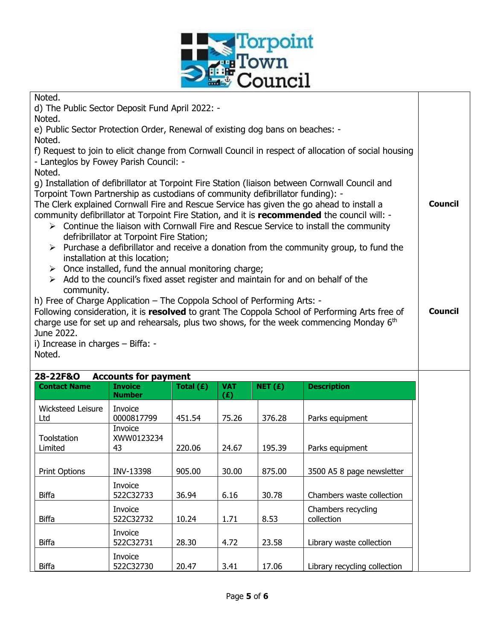

| Noted.<br>d) The Public Sector Deposit Fund April 2022: -                                                                                                                  |                                          |             |                   |           |                                                                                                        |                |  |  |
|----------------------------------------------------------------------------------------------------------------------------------------------------------------------------|------------------------------------------|-------------|-------------------|-----------|--------------------------------------------------------------------------------------------------------|----------------|--|--|
| Noted.<br>e) Public Sector Protection Order, Renewal of existing dog bans on beaches: -                                                                                    |                                          |             |                   |           |                                                                                                        |                |  |  |
| Noted.                                                                                                                                                                     |                                          |             |                   |           |                                                                                                        |                |  |  |
| f) Request to join to elicit change from Cornwall Council in respect of allocation of social housing                                                                       |                                          |             |                   |           |                                                                                                        |                |  |  |
| - Lanteglos by Fowey Parish Council: -                                                                                                                                     |                                          |             |                   |           |                                                                                                        |                |  |  |
| Noted.                                                                                                                                                                     |                                          |             |                   |           |                                                                                                        |                |  |  |
| g) Installation of defibrillator at Torpoint Fire Station (liaison between Cornwall Council and                                                                            |                                          |             |                   |           |                                                                                                        |                |  |  |
| Torpoint Town Partnership as custodians of community defibrillator funding): -<br>The Clerk explained Cornwall Fire and Rescue Service has given the go ahead to install a |                                          |             |                   |           |                                                                                                        |                |  |  |
|                                                                                                                                                                            |                                          |             |                   |           | community defibrillator at Torpoint Fire Station, and it is recommended the council will: -            |                |  |  |
|                                                                                                                                                                            |                                          |             |                   |           | $\triangleright$ Continue the liaison with Cornwall Fire and Rescue Service to install the community   |                |  |  |
|                                                                                                                                                                            | defribrillator at Torpoint Fire Station; |             |                   |           |                                                                                                        |                |  |  |
|                                                                                                                                                                            |                                          |             |                   |           | $\triangleright$ Purchase a defibrillator and receive a donation from the community group, to fund the |                |  |  |
|                                                                                                                                                                            | installation at this location;           |             |                   |           |                                                                                                        |                |  |  |
| $\triangleright$ Once installed, fund the annual monitoring charge;<br>$\triangleright$ Add to the council's fixed asset register and maintain for and on behalf of the    |                                          |             |                   |           |                                                                                                        |                |  |  |
| community.                                                                                                                                                                 |                                          |             |                   |           |                                                                                                        |                |  |  |
| h) Free of Charge Application - The Coppola School of Performing Arts: -                                                                                                   |                                          |             |                   |           |                                                                                                        |                |  |  |
|                                                                                                                                                                            |                                          |             |                   |           | Following consideration, it is resolved to grant The Coppola School of Performing Arts free of         | <b>Council</b> |  |  |
|                                                                                                                                                                            |                                          |             |                   |           | charge use for set up and rehearsals, plus two shows, for the week commencing Monday 6th               |                |  |  |
| June 2022.<br>i) Increase in charges - Biffa: -                                                                                                                            |                                          |             |                   |           |                                                                                                        |                |  |  |
| Noted.                                                                                                                                                                     |                                          |             |                   |           |                                                                                                        |                |  |  |
|                                                                                                                                                                            |                                          |             |                   |           |                                                                                                        |                |  |  |
| 28-22F&O                                                                                                                                                                   | <b>Accounts for payment</b>              |             |                   |           |                                                                                                        |                |  |  |
| <b>Contact Name</b>                                                                                                                                                        | <b>Invoice</b><br><b>Number</b>          | Total $(E)$ | <b>VAT</b><br>(E) | NET $(f)$ | <b>Description</b>                                                                                     |                |  |  |
| Wicksteed Leisure                                                                                                                                                          | Invoice                                  |             |                   |           |                                                                                                        |                |  |  |
| Ltd                                                                                                                                                                        | 0000817799                               | 451.54      | 75.26             | 376.28    | Parks equipment                                                                                        |                |  |  |
|                                                                                                                                                                            | Invoice                                  |             |                   |           |                                                                                                        |                |  |  |
| Toolstation<br>Limited                                                                                                                                                     | XWW0123234<br>43                         | 220.06      | 24.67             | 195.39    | Parks equipment                                                                                        |                |  |  |
|                                                                                                                                                                            |                                          |             |                   |           |                                                                                                        |                |  |  |
| Print Options                                                                                                                                                              | INV-13398                                | 905.00      | 30.00             | 875.00    | 3500 A5 8 page newsletter                                                                              |                |  |  |
|                                                                                                                                                                            | Invoice                                  |             |                   |           |                                                                                                        |                |  |  |
| <b>Biffa</b>                                                                                                                                                               | 522C32733                                | 36.94       | 6.16              | 30.78     | Chambers waste collection                                                                              |                |  |  |
|                                                                                                                                                                            | Invoice                                  |             |                   |           | Chambers recycling                                                                                     |                |  |  |
| <b>Biffa</b>                                                                                                                                                               | 522C32732                                | 10.24       | 1.71              | 8.53      | collection                                                                                             |                |  |  |
|                                                                                                                                                                            | Invoice                                  |             |                   |           |                                                                                                        |                |  |  |
| <b>Biffa</b>                                                                                                                                                               | 522C32731                                | 28.30       | 4.72              | 23.58     | Library waste collection                                                                               |                |  |  |
|                                                                                                                                                                            | Invoice                                  |             |                   |           |                                                                                                        |                |  |  |
| <b>Biffa</b>                                                                                                                                                               | 522C32730                                | 20.47       | 3.41              | 17.06     | Library recycling collection                                                                           |                |  |  |